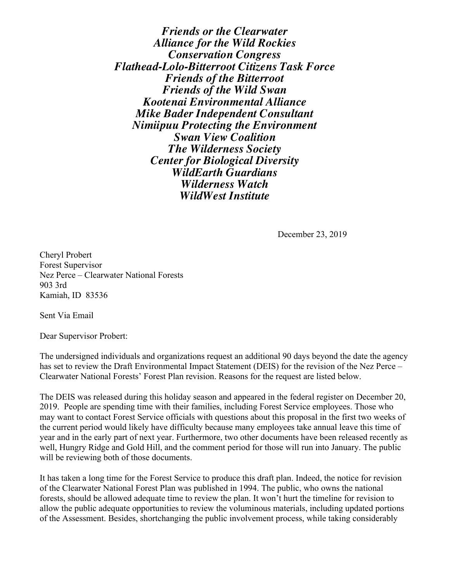*Friends or the Clearwater Alliance for the Wild Rockies Conservation Congress Flathead-Lolo-Bitterroot Citizens Task Force Friends of the Bitterroot Friends of the Wild Swan Kootenai Environmental Alliance Mike Bader Independent Consultant Nimiipuu Protecting the Environment Swan View Coalition The Wilderness Society Center for Biological Diversity WildEarth Guardians Wilderness Watch WildWest Institute*

December 23, 2019

Cheryl Probert Forest Supervisor Nez Perce – Clearwater National Forests 903 3rd Kamiah, ID 83536

Sent Via Email

Dear Supervisor Probert:

The undersigned individuals and organizations request an additional 90 days beyond the date the agency has set to review the Draft Environmental Impact Statement (DEIS) for the revision of the Nez Perce – Clearwater National Forests' Forest Plan revision. Reasons for the request are listed below.

The DEIS was released during this holiday season and appeared in the federal register on December 20, 2019. People are spending time with their families, including Forest Service employees. Those who may want to contact Forest Service officials with questions about this proposal in the first two weeks of the current period would likely have difficulty because many employees take annual leave this time of year and in the early part of next year. Furthermore, two other documents have been released recently as well, Hungry Ridge and Gold Hill, and the comment period for those will run into January. The public will be reviewing both of those documents.

It has taken a long time for the Forest Service to produce this draft plan. Indeed, the notice for revision of the Clearwater National Forest Plan was published in 1994. The public, who owns the national forests, should be allowed adequate time to review the plan. It won't hurt the timeline for revision to allow the public adequate opportunities to review the voluminous materials, including updated portions of the Assessment. Besides, shortchanging the public involvement process, while taking considerably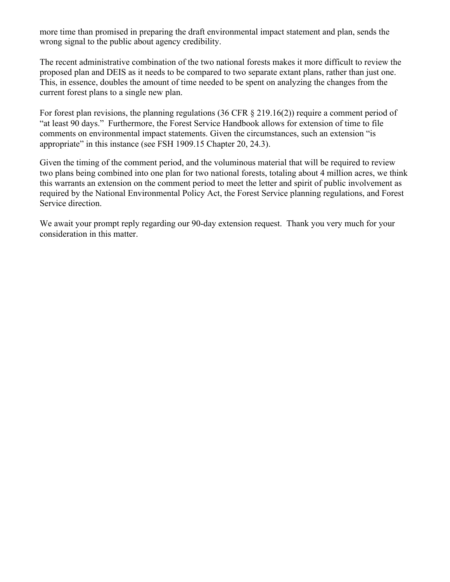more time than promised in preparing the draft environmental impact statement and plan, sends the wrong signal to the public about agency credibility.

The recent administrative combination of the two national forests makes it more difficult to review the proposed plan and DEIS as it needs to be compared to two separate extant plans, rather than just one. This, in essence, doubles the amount of time needed to be spent on analyzing the changes from the current forest plans to a single new plan.

For forest plan revisions, the planning regulations (36 CFR § 219.16(2)) require a comment period of "at least 90 days." Furthermore, the Forest Service Handbook allows for extension of time to file comments on environmental impact statements. Given the circumstances, such an extension "is appropriate" in this instance (see FSH 1909.15 Chapter 20, 24.3).

Given the timing of the comment period, and the voluminous material that will be required to review two plans being combined into one plan for two national forests, totaling about 4 million acres, we think this warrants an extension on the comment period to meet the letter and spirit of public involvement as required by the National Environmental Policy Act, the Forest Service planning regulations, and Forest Service direction.

We await your prompt reply regarding our 90-day extension request. Thank you very much for your consideration in this matter.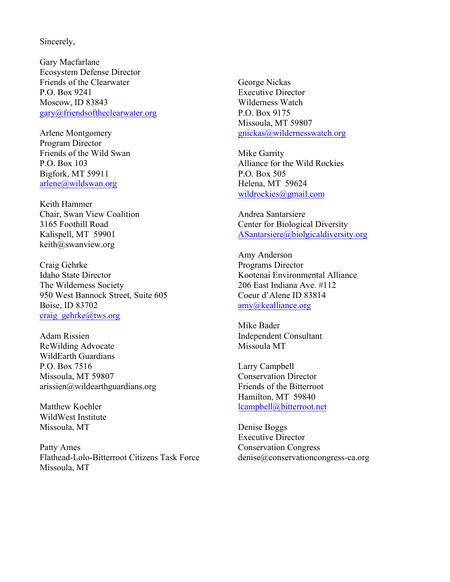## Sincerely,

Gary Macfarlane Ecosystem Defense Director Friends of the Clearwater P.O. Box 9241 Moscow, ID 83843 gary@friendsoftheclearwater.org

Arlene Montgomery Program Director Friends of the Wild Swan P.O. Box 103 Bigfork, MT 59911 arlene@wildswan.org

Keith Hammer Chair, Swan View Coalition 3165 Foothill Road Kalispell, MT 59901 keith@swanview.org

Craig Gehrke Idaho State Director The Wilderness Society 950 West Bannock Street, Suite 605 Boise, ID 83702 craig\_gehrke@tws.org

Adam Rissien ReWilding Advocate WildEarth Guardians P.O. Box 7516 Missoula, MT 59807 arissien@wildearthguardians.org

Matthew Koehler WildWest Institute Missoula, MT

Patty Ames Flathead-Lolo-Bitterroot Citizens Task Force Missoula, MT

George Nickas Executive Director Wilderness Watch P.O. Box 9175 Missoula, MT 59807 gnickas@wildernesswatch.org

Mike Garrity Alliance for the Wild Rockies P.O. Box 505 Helena, MT 59624 wildrockies@gmail.com

Andrea Santarsiere Center for Biological Diversity ASantarsiere@biolgicaldiversity.org

Amy Anderson Programs Director Kootenai Environmental Alliance 206 East Indiana Ave. #112 Coeur d'Alene ID 83814 amy@kealliance.org

Mike Bader Independent Consultant Missoula MT

Larry Campbell Conservation Director Friends of the Bitterroot Hamilton, MT 59840 lcampbell@bitterroot.net

Denise Boggs Executive Director Conservation Congress denise@conservationcongress-ca.org